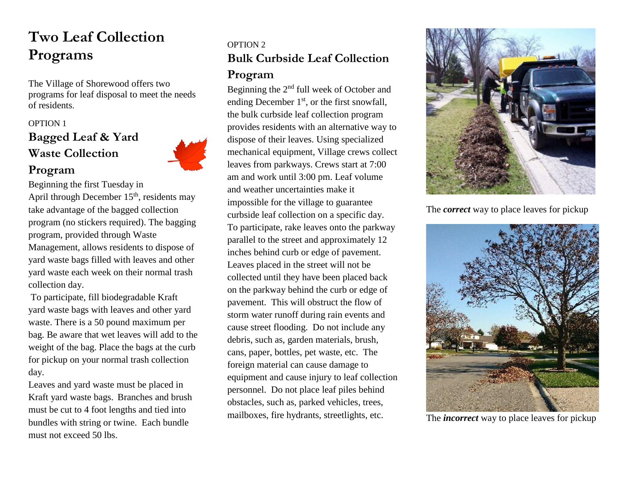# **Two Leaf Collection Programs**

The Village of Shorewood offers two programs for leaf disposal to meet the needs of residents.

## OPTION 1 **Bagged Leaf & Yard Waste Collection**

**Program**



Beginning the first Tuesday in April through December  $15<sup>th</sup>$ , residents may take advantage of the bagged collection program (no stickers required). The bagging program, provided through Waste Management, allows residents to dispose of yard waste bags filled with leaves and other yard waste each week on their normal trash collection day.

To participate, fill biodegradable Kraft yard waste bags with leaves and other yard waste. There is a 50 pound maximum per bag. Be aware that wet leaves will add to the weight of the bag. Place the bags at the curb for pickup on your normal trash collection day.

Leaves and yard waste must be placed in Kraft yard waste bags. Branches and brush must be cut to 4 foot lengths and tied into bundles with string or twine. Each bundle must not exceed 50 lbs.

# OPTION 2 **Bulk Curbside Leaf Collection**

#### **Program**

Beginning the 2nd full week of October and ending December  $1<sup>st</sup>$ , or the first snowfall, the bulk curbside leaf collection program provides residents with an alternative way to dispose of their leaves. Using specialized mechanical equipment, Village crews collect leaves from parkways. Crews start at 7:00 am and work until 3:00 pm. Leaf volume and weather uncertainties make it impossible for the village to guarantee curbside leaf collection on a specific day. To participate, rake leaves onto the parkway parallel to the street and approximately 12 inches behind curb or edge of pavement. Leaves placed in the street will not be collected until they have been placed back on the parkway behind the curb or edge of pavement. This will obstruct the flow of storm water runoff during rain events and cause street flooding. Do not include any debris, such as, garden materials, brush, cans, paper, bottles, pet waste, etc. The foreign material can cause damage to equipment and cause injury to leaf collection personnel. Do not place leaf piles behind obstacles, such as, parked vehicles, trees, mailboxes, fire hydrants, streetlights, etc.



The *correct* way to place leaves for pickup



The *incorrect* way to place leaves for pickup